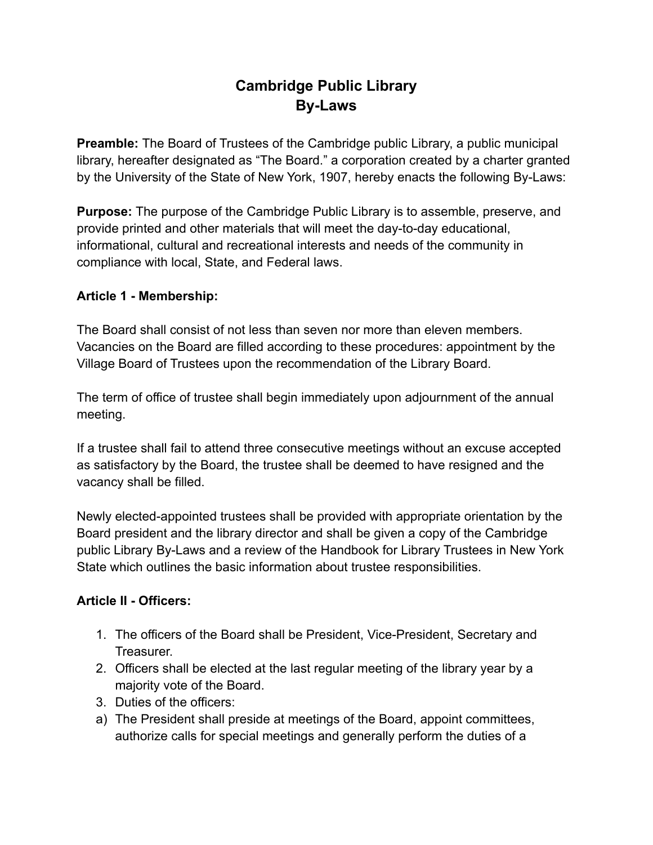# **Cambridge Public Library By-Laws**

**Preamble:** The Board of Trustees of the Cambridge public Library, a public municipal library, hereafter designated as "The Board." a corporation created by a charter granted by the University of the State of New York, 1907, hereby enacts the following By-Laws:

**Purpose:** The purpose of the Cambridge Public Library is to assemble, preserve, and provide printed and other materials that will meet the day-to-day educational, informational, cultural and recreational interests and needs of the community in compliance with local, State, and Federal laws.

#### **Article 1 - Membership:**

The Board shall consist of not less than seven nor more than eleven members. Vacancies on the Board are filled according to these procedures: appointment by the Village Board of Trustees upon the recommendation of the Library Board.

The term of office of trustee shall begin immediately upon adjournment of the annual meeting.

If a trustee shall fail to attend three consecutive meetings without an excuse accepted as satisfactory by the Board, the trustee shall be deemed to have resigned and the vacancy shall be filled.

Newly elected-appointed trustees shall be provided with appropriate orientation by the Board president and the library director and shall be given a copy of the Cambridge public Library By-Laws and a review of the Handbook for Library Trustees in New York State which outlines the basic information about trustee responsibilities.

## **Article II - Officers:**

- 1. The officers of the Board shall be President, Vice-President, Secretary and Treasurer.
- 2. Officers shall be elected at the last regular meeting of the library year by a majority vote of the Board.
- 3. Duties of the officers:
- a) The President shall preside at meetings of the Board, appoint committees, authorize calls for special meetings and generally perform the duties of a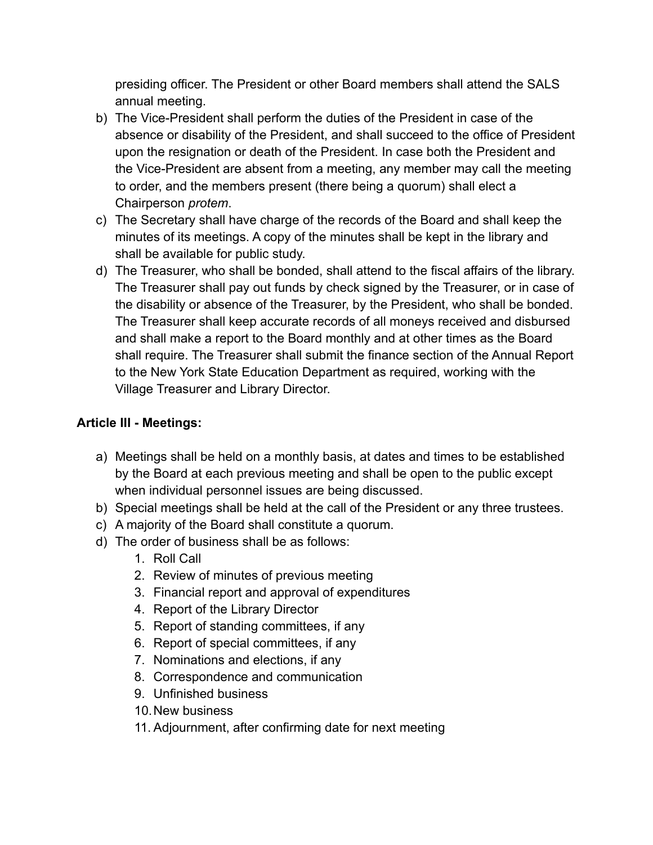presiding officer. The President or other Board members shall attend the SALS annual meeting.

- b) The Vice-President shall perform the duties of the President in case of the absence or disability of the President, and shall succeed to the office of President upon the resignation or death of the President. In case both the President and the Vice-President are absent from a meeting, any member may call the meeting to order, and the members present (there being a quorum) shall elect a Chairperson *protem*.
- c) The Secretary shall have charge of the records of the Board and shall keep the minutes of its meetings. A copy of the minutes shall be kept in the library and shall be available for public study.
- d) The Treasurer, who shall be bonded, shall attend to the fiscal affairs of the library. The Treasurer shall pay out funds by check signed by the Treasurer, or in case of the disability or absence of the Treasurer, by the President, who shall be bonded. The Treasurer shall keep accurate records of all moneys received and disbursed and shall make a report to the Board monthly and at other times as the Board shall require. The Treasurer shall submit the finance section of the Annual Report to the New York State Education Department as required, working with the Village Treasurer and Library Director.

#### **Article III - Meetings:**

- a) Meetings shall be held on a monthly basis, at dates and times to be established by the Board at each previous meeting and shall be open to the public except when individual personnel issues are being discussed.
- b) Special meetings shall be held at the call of the President or any three trustees.
- c) A majority of the Board shall constitute a quorum.
- d) The order of business shall be as follows:
	- 1. Roll Call
	- 2. Review of minutes of previous meeting
	- 3. Financial report and approval of expenditures
	- 4. Report of the Library Director
	- 5. Report of standing committees, if any
	- 6. Report of special committees, if any
	- 7. Nominations and elections, if any
	- 8. Correspondence and communication
	- 9. Unfinished business
	- 10.New business
	- 11. Adjournment, after confirming date for next meeting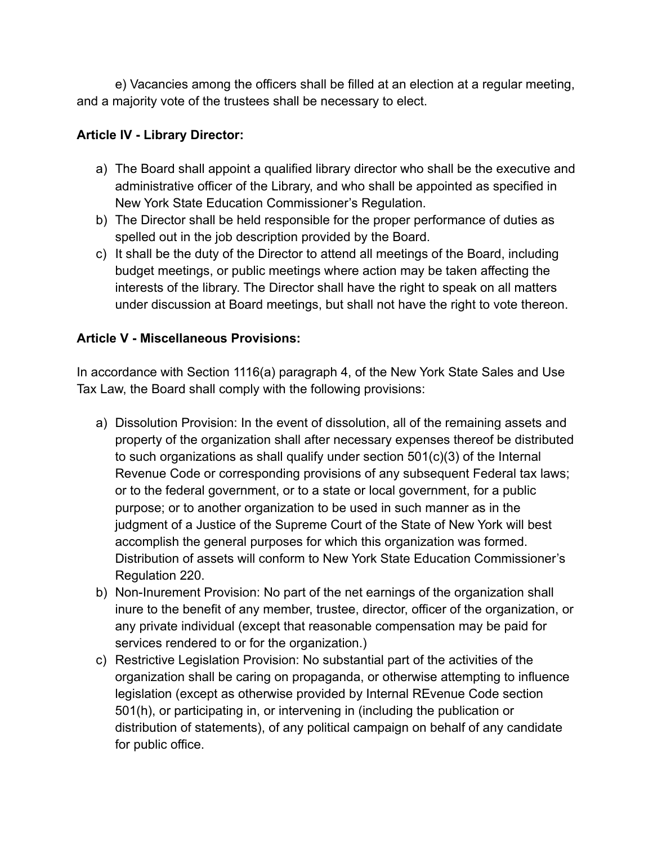e) Vacancies among the officers shall be filled at an election at a regular meeting, and a majority vote of the trustees shall be necessary to elect.

## **Article IV - Library Director:**

- a) The Board shall appoint a qualified library director who shall be the executive and administrative officer of the Library, and who shall be appointed as specified in New York State Education Commissioner's Regulation.
- b) The Director shall be held responsible for the proper performance of duties as spelled out in the job description provided by the Board.
- c) It shall be the duty of the Director to attend all meetings of the Board, including budget meetings, or public meetings where action may be taken affecting the interests of the library. The Director shall have the right to speak on all matters under discussion at Board meetings, but shall not have the right to vote thereon.

## **Article V - Miscellaneous Provisions:**

In accordance with Section 1116(a) paragraph 4, of the New York State Sales and Use Tax Law, the Board shall comply with the following provisions:

- a) Dissolution Provision: In the event of dissolution, all of the remaining assets and property of the organization shall after necessary expenses thereof be distributed to such organizations as shall qualify under section 501(c)(3) of the Internal Revenue Code or corresponding provisions of any subsequent Federal tax laws; or to the federal government, or to a state or local government, for a public purpose; or to another organization to be used in such manner as in the judgment of a Justice of the Supreme Court of the State of New York will best accomplish the general purposes for which this organization was formed. Distribution of assets will conform to New York State Education Commissioner's Regulation 220.
- b) Non-Inurement Provision: No part of the net earnings of the organization shall inure to the benefit of any member, trustee, director, officer of the organization, or any private individual (except that reasonable compensation may be paid for services rendered to or for the organization.)
- c) Restrictive Legislation Provision: No substantial part of the activities of the organization shall be caring on propaganda, or otherwise attempting to influence legislation (except as otherwise provided by Internal REvenue Code section 501(h), or participating in, or intervening in (including the publication or distribution of statements), of any political campaign on behalf of any candidate for public office.